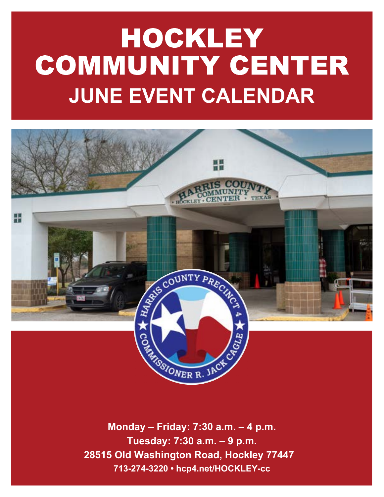# HOCKLEY COMMUNITY CENTER **JUNE EVENT CALENDAR**



**Monday – Friday: 7:30 a.m. – 4 p.m. Tuesday: 7:30 a.m. – 9 p.m. 28515 Old Washington Road, Hockley 77447 713-274-3220 • hcp4.net/HOCKLEY-cc**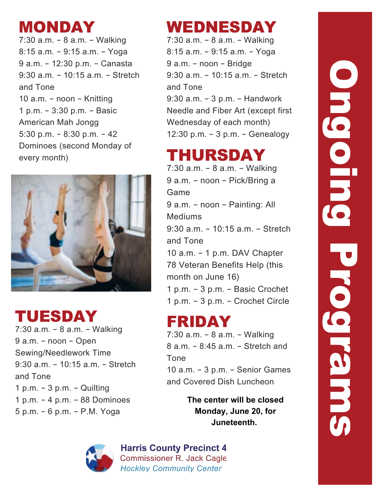# MONDAY

7:30 a.m. – 8 a.m. – Walking 8:15 a.m. – 9:15 a.m. – Yoga 9 a.m. – 12:30 p.m. – Canasta 9:30 a.m. – 10:15 a.m. – Stretch and Tone 10 a.m. – noon – Knitting 1 p.m. – 3:30 p.m. – Basic American Mah Jongg 5:30 p.m. – 8:30 p.m. – 42 Dominoes (second Monday of every month)



# TUESDAY

7:30 a.m. – 8 a.m. – Walking 9 a.m. – noon – Open Sewing/Needlework Time 9:30 a.m. – 10:15 a.m. – Stretch and Tone 1 p.m. – 3 p.m. – Quilting 1 p.m. – 4 p.m. – 88 Dominoes 5 p.m. – 6 p.m. – P.M. Yoga

# WEDNESDAY

7:30 a.m. – 8 a.m. – Walking 8:15 a.m. – 9:15 a.m. – Yoga 9 a.m. – noon – Bridge 9:30 a.m. – 10:15 a.m. – Stretch and Tone 9:30 a.m. – 3 p.m. – Handwork Needle and Fiber Art (except first Wednesday of each month) 12:30 p.m. – 3 p.m. – Genealogy

# THURSDAY

7:30 a.m. – 8 a.m. – Walking 9 a.m. – noon – Pick/Bring a Game 9 a.m. – noon – Painting: All Mediums 9:30 a.m. – 10:15 a.m. – Stretch and Tone 10 a.m. – 1 p.m. DAV Chapter 78 Veteran Benefits Help (this month on June 16) 1 p.m. – 3 p.m. – Basic Crochet 1 p.m. – 3 p.m. – Crochet Circle

# FRIDAY

7:30 a.m. – 8 a.m. – Walking 8 a.m. – 8:45 a.m. – Stretch and Tone 10 a.m. – 3 p.m. – Senior Games and Covered Dish Luncheon

> **The center will be closed Monday, June 20, for Juneteenth.**



**Harris County Precinct 4 Commissioner R. Jack Cagle Hockley Community Center** 

# Ongoing Programs **ONGCIER** Progrems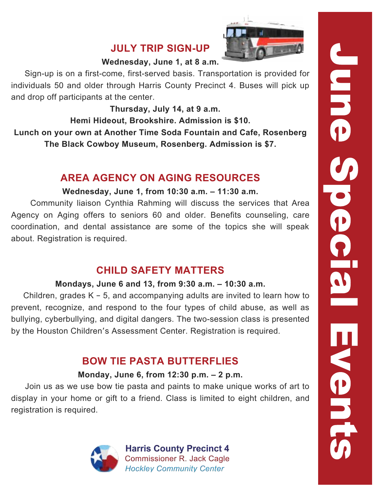### **JULY TRIP SIGN-UP**



### **Wednesday, June 1, at 8 a.m.**

 Sign-up is on a first-come, first-served basis. Transportation is provided for individuals 50 and older through Harris County Precinct 4. Buses will pick up and drop off participants at the center.

 **Thursday, July 14, at 9 a.m.**

**Hemi Hideout, Brookshire. Admission is \$10. Lunch on your own at Another Time Soda Fountain and Cafe, Rosenberg The Black Cowboy Museum, Rosenberg. Admission is \$7.**

### **AREA AGENCY ON AGING RESOURCES**

### **Wednesday, June 1, from 10:30 a.m. – 11:30 a.m.**

 Community liaison Cynthia Rahming will discuss the services that Area Agency on Aging offers to seniors 60 and older. Benefits counseling, care coordination, and dental assistance are some of the topics she will speak about. Registration is required.

### **CHILD SAFETY MATTERS**

### **Mondays, June 6 and 13, from 9:30 a.m. – 10:30 a.m.**

 Children, grades K – 5, and accompanying adults are invited to learn how to prevent, recognize, and respond to the four types of child abuse, as well as bullying, cyberbullying, and digital dangers. The two-session class is presented by the Houston Children's Assessment Center. Registration is required.

### **BOW TIE PASTA BUTTERFLIES**

### **Monday, June 6, from 12:30 p.m. – 2 p.m.**

 Join us as we use bow tie pasta and paints to make unique works of art to display in your home or gift to a friend. Class is limited to eight children, and registration is required.

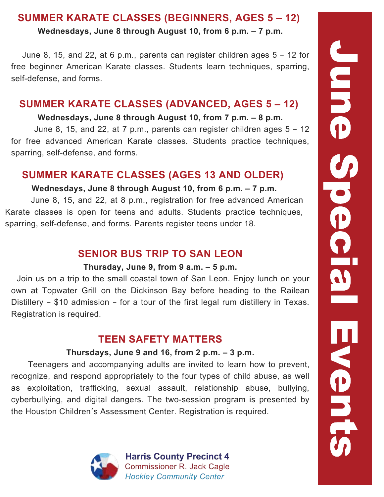### **SUMMER KARATE CLASSES (BEGINNERS, AGES 5 – 12)**

**Wednesdays, June 8 through August 10, from 6 p.m. – 7 p.m.**

 June 8, 15, and 22, at 6 p.m., parents can register children ages 5 – 12 for free beginner American Karate classes. Students learn techniques, sparring, self-defense, and forms.

### **SUMMER KARATE CLASSES (ADVANCED, AGES 5 – 12)**

### **Wednesdays, June 8 through August 10, from 7 p.m. – 8 p.m.**

 June 8, 15, and 22, at 7 p.m., parents can register children ages 5 – 12 for free advanced American Karate classes. Students practice techniques, sparring, self-defense, and forms.

### **SUMMER KARATE CLASSES (AGES 13 AND OLDER)**

### **Wednesdays, June 8 through August 10, from 6 p.m. – 7 p.m.**

 June 8, 15, and 22, at 8 p.m., registration for free advanced American Karate classes is open for teens and adults. Students practice techniques, sparring, self-defense, and forms. Parents register teens under 18.

### **SENIOR BUS TRIP TO SAN LEON**

### **Thursday, June 9, from 9 a.m. – 5 p.m.**

 Join us on a trip to the small coastal town of San Leon. Enjoy lunch on your own at Topwater Grill on the Dickinson Bay before heading to the Railean Distillery – \$10 admission – for a tour of the first legal rum distillery in Texas. Registration is required.

### **TEEN SAFETY MATTERS**

### **Thursdays, June 9 and 16, from 2 p.m. – 3 p.m.**

 Teenagers and accompanying adults are invited to learn how to prevent, recognize, and respond appropriately to the four types of child abuse, as well as exploitation, trafficking, sexual assault, relationship abuse, bullying, cyberbullying, and digital dangers. The two-session program is presented by the Houston Children's Assessment Center. Registration is required.

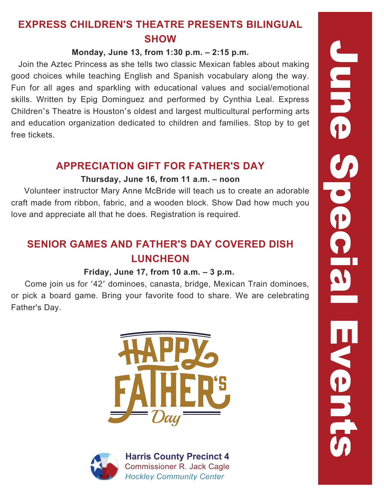### **EXPRESS CHILDREN'S THEATRE PRESENTS BILINGUAL SHOW**

### **Monday, June 13, from 1:30 p.m. – 2:15 p.m.**

 Join the Aztec Princess as she tells two classic Mexican fables about making good choices while teaching English and Spanish vocabulary along the way. Fun for all ages and sparkling with educational values and social/emotional skills. Written by Epig Dominguez and performed by Cynthia Leal. Express Children's Theatre is Houston's oldest and largest multicultural performing arts and education organization dedicated to children and families. Stop by to get free tickets.

### **APPRECIATION GIFT FOR FATHER'S DAY**

### **Thursday, June 16, from 11 a.m. – noon**

 Volunteer instructor Mary Anne McBride will teach us to create an adorable craft made from ribbon, fabric, and a wooden block. Show Dad how much you love and appreciate all that he does. Registration is required.

### **SENIOR GAMES AND FATHER'S DAY COVERED DISH LUNCHEON**

### **Friday, June 17, from 10 a.m. – 3 p.m.**

 Come join us for '42' dominoes, canasta, bridge, Mexican Train dominoes, or pick a board game. Bring your favorite food to share. We are celebrating Father's Day.